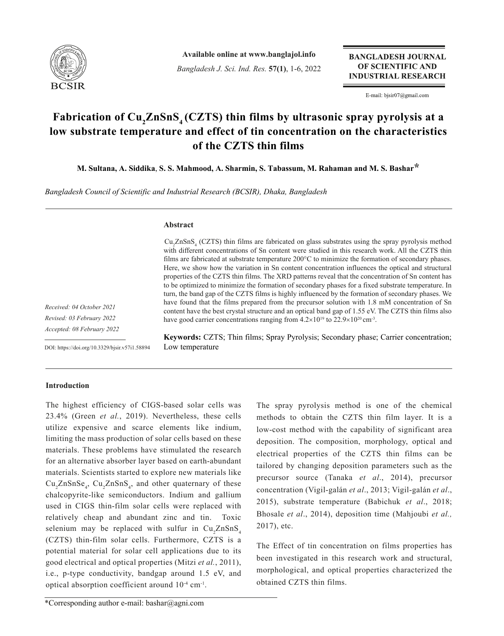

**Available online at www.banglajol.info**

*Bangladesh J. Sci. Ind. Res.* **57(1)**, 1-6, 2022

**BANGLADESH JOURNAL** OF SCIENTIFIC AND **INDUSTRIAL RESEARCH** 

E-mail: bjsir07@gmail.com

# Fabrication of Cu<sub>2</sub>ZnSnS<sub>4</sub> (CZTS) thin films by ultrasonic spray pyrolysis at a **low substrate temperature and effect of tin concentration on the characteristics of the CZTS thin films**

**M. Sultana, A. Siddika**, **S. S. Mahmood, A. Sharmin, S. Tabassum, M. Rahaman and M. S. Bashar\***

*Bangladesh Council of Scientific and Industrial Research (BCSIR), Dhaka, Bangladesh*

## **Abstract**

Cu<sub>2</sub>ZnSnS<sub>4</sub> (CZTS) thin films are fabricated on glass substrates using the spray pyrolysis method with different concentrations of Sn content were studied in this research work. All the CZTS thin films are fabricated at substrate temperature 200°C to minimize the formation of secondary phases. Here, we show how the variation in Sn content concentration influences the optical and structural properties of the CZTS thin films. The XRD patterns reveal that the concentration of Sn content has to be optimized to minimize the formation of secondary phases for a fixed substrate temperature. In turn, the band gap of the CZTS films is highly influenced by the formation of secondary phases. We have found that the films prepared from the precursor solution with 1.8 mM concentration of Sn content have the best crystal structure and an optical band gap of 1.55 eV. The CZTS thin films also have good carrier concentrations ranging from  $4.2 \times 10^{19}$  to  $22.9 \times 10^{20}$  cm<sup>-3</sup>.

*Received: 04 October 2021 Revised: 03 February 2022 Accepted: 08 February 2022*

DOI: https://doi.org/10.3329/bjsir.v57i1.58894

**Keywords:** CZTS; Thin films; Spray Pyrolysis; Secondary phase; Carrier concentration; Low temperature

## **Introduction**

The highest efficiency of CIGS-based solar cells was 23.4% (Green *et al.*, 2019). Nevertheless, these cells utilize expensive and scarce elements like indium, limiting the mass production of solar cells based on these materials. These problems have stimulated the research for an alternative absorber layer based on earth-abundant materials. Scientists started to explore new materials like  $Cu_{2}ZnSnSe_{4}$ ,  $Cu_{2}ZnSnS_{4}$ , and other quaternary of these chalcopyrite-like semiconductors. Indium and gallium used in CIGS thin-film solar cells were replaced with relatively cheap and abundant zinc and tin. Toxic selenium may be replaced with sulfur in  $\text{Cu}_\text{2}\text{ZnSnS}_4$ (CZTS) thin-film solar cells. Furthermore, CZTS is a potential material for solar cell applications due to its good electrical and optical properties (Mitzi *et al.*, 2011), i.e., p-type conductivity, bandgap around 1.5 eV, and optical absorption coefficient around  $10^{-4}$  cm<sup>-1</sup>.

methods to obtain the CZTS thin film layer. It is a low-cost method with the capability of significant area deposition. The composition, morphology, optical and electrical properties of the CZTS thin films can be tailored by changing deposition parameters such as the precursor source (Tanaka *et al*., 2014), precursor concentration (Vigil-galán *et al*., 2013; Vigil-galán *et al*., 2015), substrate temperature (Babichuk *et al*., 2018; Bhosale *et al*., 2014), deposition time (Mahjoubi *et al.,*  2017), etc.

The spray pyrolysis method is one of the chemical

The Effect of tin concentration on films properties has been investigated in this research work and structural, morphological, and optical properties characterized the obtained CZTS thin films.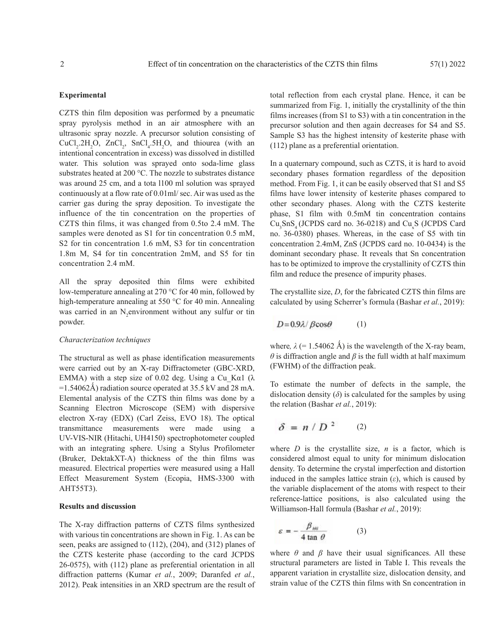## **Experimental**

CZTS thin film deposition was performed by a pneumatic spray pyrolysis method in an air atmosphere with an ultrasonic spray nozzle. A precursor solution consisting of CuCl<sub>2</sub>.2H<sub>2</sub>O, ZnCl<sub>2</sub>, SnCl<sub>4</sub>.5H<sub>2</sub>O, and thiourea (with an intentional concentration in excess) was dissolved in distilled water. This solution was sprayed onto soda-lime glass substrates heated at 200 °C. The nozzle to substrates distance was around 25 cm, and a tota l100 ml solution was sprayed continuously at a flow rate of 0.01ml/ sec. Air was used as the carrier gas during the spray deposition. To investigate the influence of the tin concentration on the properties of CZTS thin films, it was changed from 0.5to 2.4 mM. The samples were denoted as S1 for tin concentration 0.5 mM, S2 for tin concentration 1.6 mM, S3 for tin concentration 1.8m M, S4 for tin concentration 2mM, and S5 for tin concentration 2.4 mM.

All the spray deposited thin films were exhibited low-temperature annealing at 270 °C for 40 min, followed by high-temperature annealing at 550 °C for 40 min. Annealing was carried in an  $N_2$ environment without any sulfur or tin powder.

## *Characterization techniques*

The structural as well as phase identification measurements were carried out by an X-ray Diffractometer (GBC-XRD, EMMA) with a step size of 0.02 deg. Using a Cu Kα1 ( $\lambda$ =1.54062Å) radiation source operated at 35.5 kV and 28 mA. Elemental analysis of the CZTS thin films was done by a Scanning Electron Microscope (SEM) with dispersive electron X-ray (EDX) (Carl Zeiss, EVO 18). The optical transmittance measurements were made using a UV-VIS-NIR (Hitachi, UH4150) spectrophotometer coupled with an integrating sphere. Using a Stylus Profilometer (Bruker, DektakXT-A) thickness of the thin films was measured. Electrical properties were measured using a Hall Effect Measurement System (Ecopia, HMS-3300 with AHT55T3).

## **Results and discussion**

The X-ray diffraction patterns of CZTS films synthesized with various tin concentrations are shown in Fig. 1. As can be seen, peaks are assigned to (112), (204), and (312) planes of the CZTS kesterite phase (according to the card JCPDS 26-0575), with (112) plane as preferential orientation in all diffraction patterns (Kumar *et al.*, 2009; Daranfed *et al.*, 2012). Peak intensities in an XRD spectrum are the result of total reflection from each crystal plane. Hence, it can be summarized from Fig. 1, initially the crystallinity of the thin films increases (from S1 to S3) with a tin concentration in the precursor solution and then again decreases for S4 and S5. Sample S3 has the highest intensity of kesterite phase with (112) plane as a preferential orientation.

In a quaternary compound, such as CZTS, it is hard to avoid secondary phases formation regardless of the deposition method. From Fig. 1, it can be easily observed that S1 and S5 films have lower intensity of kesterite phases compared to other secondary phases. Along with the CZTS kesterite phase, S1 film with 0.5mM tin concentration contains  $Cu<sub>3</sub>SnS<sub>4</sub>$  (JCPDS card no. 36-0218) and  $Cu<sub>x</sub>S$  (JCPDS Card no. 36-0380) phases. Whereas, in the case of S5 with tin concentration 2.4mM, ZnS (JCPDS card no. 10-0434) is the dominant secondary phase. It reveals that Sn concentration has to be optimized to improve the crystallinity of CZTS thin film and reduce the presence of impurity phases.

The crystallite size, *D*, for the fabricated CZTS thin films are calculated by using Scherrer's formula (Bashar *et al.*, 2019):

$$
D = 0.9\lambda / \beta \cos \theta \tag{1}
$$

where,  $\lambda$  (= 1.54062 Å) is the wavelength of the X-ray beam,  $\theta$  is diffraction angle and  $\beta$  is the full width at half maximum (FWHM) of the diffraction peak.

To estimate the number of defects in the sample, the dislocation density  $(\delta)$  is calculated for the samples by using the relation (Bashar *et al.*, 2019):

$$
\delta = n/D^2 \qquad (2)
$$

where  $D$  is the crystallite size,  $n$  is a factor, which is considered almost equal to unity for minimum dislocation density. To determine the crystal imperfection and distortion induced in the samples lattice strain  $(\varepsilon)$ , which is caused by the variable displacement of the atoms with respect to their reference-lattice positions, is also calculated using the Williamson-Hall formula (Bashar *et al.*, 2019):

$$
\varepsilon = -\frac{\beta_{hu}}{4\tan\theta} \tag{3}
$$

where *θ* and *β* have their usual significances. All these structural parameters are listed in Table I. This reveals the apparent variation in crystallite size, dislocation density, and strain value of the CZTS thin films with Sn concentration in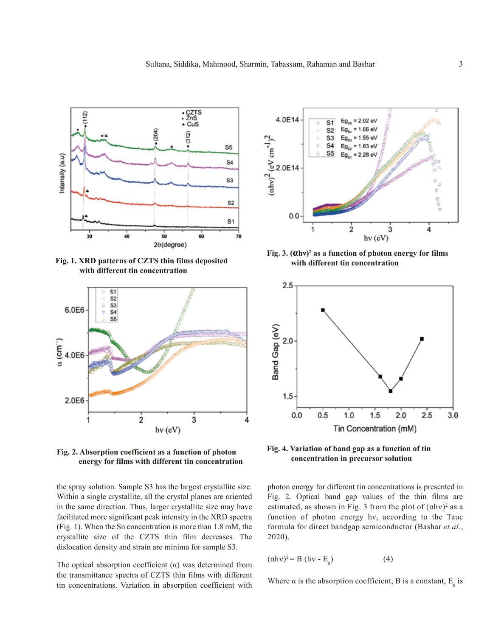

**Fig. 1. XRD patterns of CZTS thin films deposited with different tin concentration**



**Fig. 2. Absorption coefficient as a function of photon energy for films with different tin concentration**

the spray solution. Sample S3 has the largest crystallite size. Within a single crystallite, all the crystal planes are oriented in the same direction. Thus, larger crystallite size may have facilitated more significant peak intensity in the XRD spectra (Fig. 1). When the Sn concentration is more than 1.8 mM, the crystallite size of the CZTS thin film decreases. The dislocation density and strain are minima for sample S3.

The optical absorption coefficient  $(\alpha)$  was determined from the transmittance spectra of CZTS thin films with different tin concentrations. Variation in absorption coefficient with



**Fig. 3. (αhν)<sup>2</sup> as a function of photon energy for films with different tin concentration**



**Fig. 4. Variation of band gap as a function of tin concentration in precursor solution**

photon energy for different tin concentrations is presented in Fig. 2. Optical band gap values of the thin films are estimated, as shown in Fig. 3 from the plot of  $(ahv)^2$  as a function of photon energy hν, according to the Tauc formula for direct bandgap semiconductor (Bashar *et al.*, 2020).

$$
(\alpha h v)^2 = B (h v - E_g) \tag{4}
$$

Where  $\alpha$  is the absorption coefficient, B is a constant,  $E_{\rm g}$  is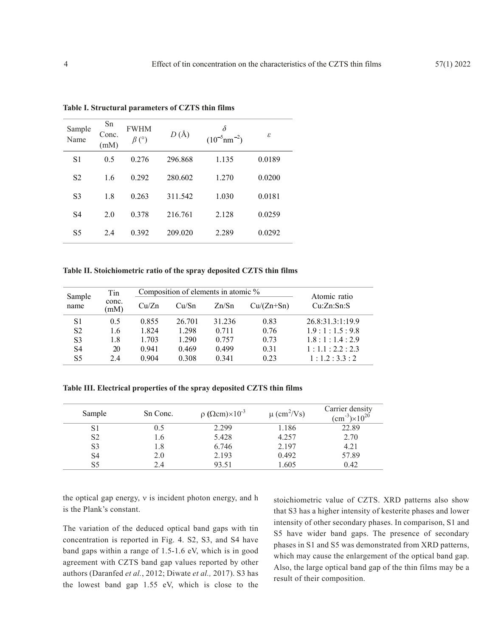| Sample<br>Name | Sn<br>Conc.<br>(mM) | <b>FWHM</b><br>$\beta$ (°) | $D(\AA)$ | $(10^{-5}$ nm <sup>-2</sup> ) | ε      |
|----------------|---------------------|----------------------------|----------|-------------------------------|--------|
| S <sub>1</sub> | 0.5                 | 0.276                      | 296.868  | 1.135                         | 0.0189 |
| S <sub>2</sub> | 1.6                 | 0.292                      | 280.602  | 1.270                         | 0.0200 |
| S <sub>3</sub> | 1.8                 | 0.263                      | 311.542  | 1.030                         | 0.0181 |
| S <sub>4</sub> | 2.0                 | 0.378                      | 216.761  | 2.128                         | 0.0259 |
| S <sub>5</sub> | 2.4                 | 0.392                      | 209.020  | 2.289                         | 0.0292 |

**Table I. Structural parameters of CZTS thin films**

**Table II. Stoichiometric ratio of the spray deposited CZTS thin films**

| Sample<br>name | Tin<br>conc.<br>(mM) |       | Composition of elements in atomic % | Atomic ratio |              |                  |
|----------------|----------------------|-------|-------------------------------------|--------------|--------------|------------------|
|                |                      | Cu/Zn | Cu/Sn                               | Zn/Sn        | $Cu/(Zn+Sn)$ | Cu:Zn:Sn:S       |
| S1             | 0.5                  | 0.855 | 26.701                              | 31.236       | 0.83         | 26.8:31.3:1:19.9 |
| S <sub>2</sub> | 1.6                  | 1.824 | 1.298                               | 0.711        | 0.76         | 1.9:1:1.5:9.8    |
| S <sub>3</sub> | 1.8                  | 1.703 | 1.290                               | 0.757        | 0.73         | 1.8:1:1.4:2.9    |
| S4             | 20                   | 0.941 | 0.469                               | 0.499        | 0.31         | 1:1.1:2.2:2.3    |
| S5             | 2.4                  | 0.904 | 0.308                               | 0.341        | 0.23         | 1:1.2:3.3:2      |

**Table III. Electrical properties of the spray deposited CZTS thin films**

| Sample         | Sn Conc. | $\rho$ ( $\Omega$ cm) $\times 10^{-3}$ | $\mu$ (cm <sup>2</sup> /Vs) | Carrier density<br>$\rm (cm^{-3})\times 10^{20}$ |
|----------------|----------|----------------------------------------|-----------------------------|--------------------------------------------------|
| S1             | 0.5      | 2.299                                  | 1.186                       | 22.89                                            |
| S <sub>2</sub> | 1.6      | 5.428                                  | 4.257                       | 2.70                                             |
| S3             | 1.8      | 6.746                                  | 2.197                       | 4.21                                             |
| S4             | 2.0      | 2.193                                  | 0.492                       | 57.89                                            |
| S5             | 2.4      | 93.51                                  | 1.605                       | 0.42                                             |

the optical gap energy, ν is incident photon energy, and h is the Plank's constant.

The variation of the deduced optical band gaps with tin concentration is reported in Fig. 4. S2, S3, and S4 have band gaps within a range of 1.5-1.6 eV, which is in good agreement with CZTS band gap values reported by other authors (Daranfed *et al.*, 2012; Diwate *et al.,* 2017). S3 has the lowest band gap 1.55 eV, which is close to the stoichiometric value of CZTS. XRD patterns also show that S3 has a higher intensity of kesterite phases and lower intensity of other secondary phases. In comparison, S1 and S5 have wider band gaps. The presence of secondary phases in S1 and S5 was demonstrated from XRD patterns, which may cause the enlargement of the optical band gap. Also, the large optical band gap of the thin films may be a result of their composition.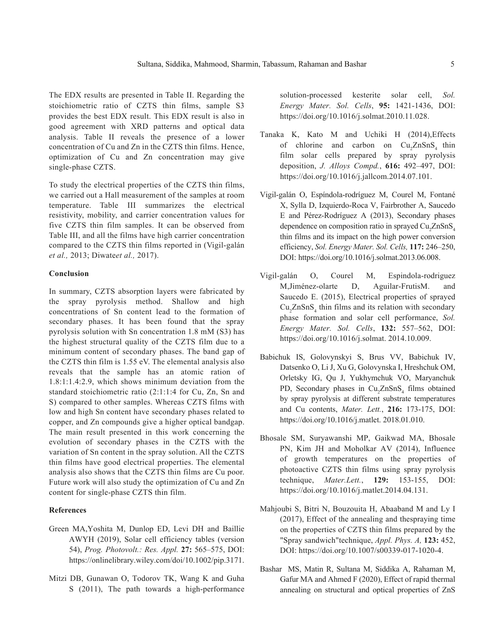The EDX results are presented in Table II. Regarding the stoichiometric ratio of CZTS thin films, sample S3 provides the best EDX result. This EDX result is also in good agreement with XRD patterns and optical data analysis. Table II reveals the presence of a lower concentration of Cu and Zn in the CZTS thin films. Hence, optimization of Cu and Zn concentration may give single-phase CZTS.

To study the electrical properties of the CZTS thin films, we carried out a Hall measurement of the samples at room temperature. Table III summarizes the electrical resistivity, mobility, and carrier concentration values for five CZTS thin film samples. It can be observed from Table III, and all the films have high carrier concentration compared to the CZTS thin films reported in (Vigil-galán *et al.,* 2013; Diwate*et al.,* 2017).

## **Conclusion**

In summary, CZTS absorption layers were fabricated by the spray pyrolysis method. Shallow and high concentrations of Sn content lead to the formation of secondary phases. It has been found that the spray pyrolysis solution with Sn concentration 1.8 mM (S3) has the highest structural quality of the CZTS film due to a minimum content of secondary phases. The band gap of the CZTS thin film is 1.55 eV. The elemental analysis also reveals that the sample has an atomic ration of 1.8:1:1.4:2.9, which shows minimum deviation from the standard stoichiometric ratio (2:1:1:4 for Cu, Zn, Sn and S) compared to other samples. Whereas CZTS films with low and high Sn content have secondary phases related to copper, and Zn compounds give a higher optical bandgap. The main result presented in this work concerning the evolution of secondary phases in the CZTS with the variation of Sn content in the spray solution. All the CZTS thin films have good electrical properties. The elemental analysis also shows that the CZTS thin films are Cu poor. Future work will also study the optimization of Cu and Zn content for single-phase CZTS thin film.

## **References**

- Green MA,Yoshita M, Dunlop ED, Levi DH and Baillie AWYH (2019), Solar cell efficiency tables (version 54), *Prog. Photovolt.: Res. Appl.* **27:** 565–575, DOI: https://onlinelibrary.wiley.com/doi/10.1002/pip.3171.
- Mitzi DB, Gunawan O, Todorov TK, Wang K and Guha S (2011), The path towards a high-performance

solution-processed kesterite solar cell, *Sol. Energy Mater. Sol. Cells*, **95:** 1421-1436, DOI: https://doi.org/10.1016/j.solmat.2010.11.028.

- Tanaka K, Kato M and Uchiki H (2014),Effects of chlorine and carbon on Cu<sub>2</sub>ZnSnS<sub>4</sub> thin film solar cells prepared by spray pyrolysis deposition, *J. Alloys Compd.*, **616:** 492–497, DOI: https://doi.org/10.1016/j.jallcom.2014.07.101.
- Vigil-galán O, Espíndola-rodríguez M, Courel M, Fontané X, Sylla D, Izquierdo-Roca V, Fairbrother A, Saucedo E and Pérez-Rodríguez A (2013), Secondary phases dependence on composition ratio in sprayed  $\text{Cu}_2\text{ZnSnS}_4$ thin films and its impact on the high power conversion efficiency, *Sol. Energy Mater. Sol. Cells,* **117:** 246–250, DOI: https://doi.org/10.1016/j.solmat.2013.06.008.
- Vigil-galán O, Courel M, Espindola-rodriguez M,Jiménez-olarte D, Aguilar-FrutisM. and Saucedo E. (2015), Electrical properties of sprayed  $Cu<sub>2</sub>ZnSnS<sub>4</sub>$  thin films and its relation with secondary phase formation and solar cell performance, *Sol. Energy Mater. Sol. Cells*, **132:** 557–562, DOI: https://doi.org/10.1016/j.solmat. 2014.10.009.
- Babichuk IS, Golovynskyi S, Brus VV, Babichuk IV, Datsenko O, Li J, Xu G, Golovynska I, Hreshchuk OM, Orletsky IG, Qu J, Yukhymchuk VO, Maryanchuk PD, Secondary phases in  $Cu<sub>2</sub>ZnSnS<sub>4</sub>$  films obtained by spray pyrolysis at different substrate temperatures and Cu contents, *Mater. Lett.*, **216:** 173-175, DOI: https://doi.org/10.1016/j.matlet. 2018.01.010.
- Bhosale SM, Suryawanshi MP, Gaikwad MA, Bhosale PN, Kim JH and Moholkar AV (2014), Influence of growth temperatures on the properties of photoactive CZTS thin films using spray pyrolysis technique, *Mater.Lett.*, **129:** 153-155, DOI: https://doi.org/10.1016/j.matlet.2014.04.131.
- Mahjoubi S, Bitri N, Bouzouita H, Abaaband M and Ly I (2017), Effect of the annealing and thespraying time on the properties of CZTS thin films prepared by the "Spray sandwich"technique, *Appl. Phys. A,* **123:** 452, DOI: https://doi.org/10.1007/s00339-017-1020-4.
- Bashar MS, Matin R, Sultana M, Siddika A, Rahaman M, Gafur MA and Ahmed F (2020), Effect of rapid thermal annealing on structural and optical properties of ZnS